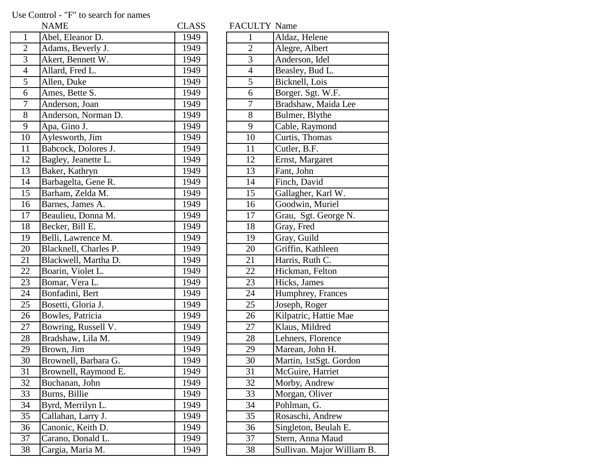## Use Control - "F" to search for names

|                 | <b>NAME</b>           | <b>CLASS</b> | FACULTY Name   |                            |
|-----------------|-----------------------|--------------|----------------|----------------------------|
| $\mathbf{1}$    | Abel, Eleanor D.      | 1949         | $\mathbf{1}$   | Aldaz, Helene              |
| $\overline{2}$  | Adams, Beverly J.     | 1949         | $\overline{2}$ | Alegre, Albert             |
| 3               | Akert, Bennett W.     | 1949         | $\overline{3}$ | Anderson, Idel             |
| $\overline{4}$  | Allard, Fred L.       | 1949         | $\overline{4}$ | Beasley, Bud L.            |
| 5               | Allen, Duke           | 1949         | 5              | Bicknell, Lois             |
| 6               | Ames, Bette S.        | 1949         | 6              | Borger. Sgt. W.F.          |
| $\tau$          | Anderson, Joan        | 1949         | $\tau$         | Bradshaw, Maida Lee        |
| 8               | Anderson, Norman D.   | 1949         | 8              | Bulmer, Blythe             |
| 9               | Apa, Gino J.          | 1949         | 9              | Cable, Raymond             |
| 10              | Aylesworth, Jim       | 1949         | 10             | Curtis, Thomas             |
| 11              | Babcock, Dolores J.   | 1949         | 11             | Cutler, B.F.               |
| 12              | Bagley, Jeanette L.   | 1949         | 12             | Ernst, Margaret            |
| 13              | Baker, Kathryn        | 1949         | 13             | Fant, John                 |
| 14              | Barbagelta, Gene R.   | 1949         | 14             | Finch, David               |
| 15              | Barham, Zelda M.      | 1949         | 15             | Gallagher, Karl W.         |
| 16              | Barnes, James A.      | 1949         | 16             | Goodwin, Muriel            |
| 17              | Beaulieu, Donna M.    | 1949         | 17             | Grau, Sgt. George N.       |
| 18              | Becker, Bill E.       | 1949         | 18             | Gray, Fred                 |
| 19              | Belli, Lawrence M.    | 1949         | 19             | Gray, Guild                |
| 20              | Blacknell, Charles P. | 1949         | 20             | Griffin, Kathleen          |
| 21              | Blackwell, Martha D.  | 1949         | 21             | Harris, Ruth C.            |
| 22              | Boarin, Violet L.     | 1949         | 22             | Hickman, Felton            |
| 23              | Bomar, Vera L.        | 1949         | 23             | Hicks, James               |
| 24              | Bonfadini, Bert       | 1949         | 24             | Humphrey, Frances          |
| 25              | Bosetti, Gloria J.    | 1949         | 25             | Joseph, Roger              |
| 26              | Bowles, Patricia      | 1949         | 26             | Kilpatric, Hattie Mae      |
| 27              | Bowring, Russell V.   | 1949         | 27             | Klaus, Mildred             |
| 28              | Bradshaw, Lila M.     | 1949         | 28             | Lehners, Florence          |
| 29              | Brown, Jim            | 1949         | 29             | Marean, John H.            |
| 30              | Brownell, Barbara G.  | 1949         | 30             | Martin, 1stSgt. Gordon     |
| 31              | Brownell, Raymond E.  | 1949         | 31             | McGuire, Harriet           |
| $\overline{32}$ | Buchanan, John        | 1949         | 32             | Morby, Andrew              |
| 33              | Burns, Billie         | 1949         | 33             | Morgan, Oliver             |
| 34              | Byrd, Merrilyn L.     | 1949         | 34             | Pohlman, G.                |
| 35              | Callahan, Larry J.    | 1949         | 35             | Rosaschi, Andrew           |
| 36              | Canonic, Keith D.     | 1949         | 36             | Singleton, Beulah E.       |
| 37              | Carano, Donald L.     | 1949         | 37             | Stern, Anna Maud           |
| 38              | Cargia, Maria M.      | 1949         | 38             | Sullivan. Major William B. |

| <b>FACULI I Name</b> |                           |
|----------------------|---------------------------|
| $\mathbf{1}$         | Aldaz, Helene             |
| $\overline{2}$       | Alegre, Albert            |
| 3                    | Anderson, Idel            |
| $\overline{4}$       | Beasley, Bud L.           |
| $\overline{5}$       | Bicknell, Lois            |
| 6                    | Borger. Sgt. W.F.         |
| 7                    | Bradshaw, Maida Lee       |
| 8                    | Bulmer, Blythe            |
| 9                    | Cable, Raymond            |
| 10                   | Curtis, Thomas            |
| 11                   | Cutler, B.F.              |
| 12                   | Ernst, Margaret           |
| 13                   | Fant, John                |
| 14                   | Finch, David              |
| 15                   | Gallagher, Karl W.        |
| 16                   | Goodwin, Muriel           |
| 17                   | Grau, Sgt. George N.      |
| 18                   | Gray, Fred                |
| 19                   | Gray, Guild               |
| 20                   | Griffin, Kathleen         |
| 21                   | Harris, Ruth C.           |
| 22                   | Hickman, Felton           |
| 23                   | Hicks, James              |
| 24                   | Humphrey, Frances         |
| 25                   | Joseph, Roger             |
| 26                   | Kilpatric, Hattie Mae     |
| 27                   | Klaus, Mildred            |
| 28                   | Lehners, Florence         |
| 29                   | Marean, John H.           |
| 30                   | Martin, 1stSgt. Gordon    |
| 31                   | McGuire, Harriet          |
| 32                   | Morby, Andrew             |
| 33                   | Morgan, Oliver            |
| 34                   | Pohlman, G.               |
| 35                   | Rosaschi, Andrew          |
| 36                   | Singleton, Beulah E.      |
| 37                   | Stern, Anna Maud          |
| 38                   | Sullivan, Maior William B |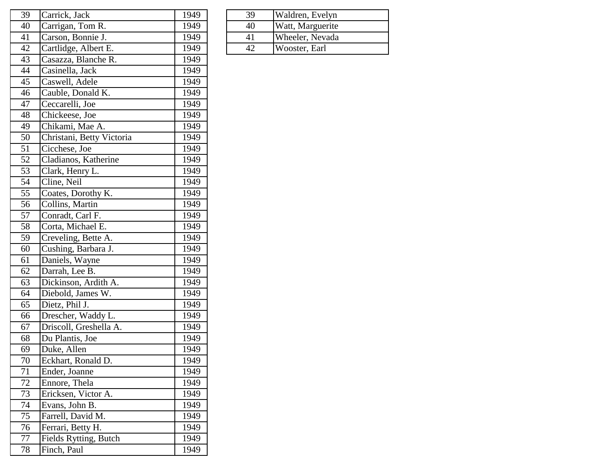| 39 | Carrick, Jack             | 1949 | 39 | Waldren, Evelyn  |
|----|---------------------------|------|----|------------------|
| 40 | Carrigan, Tom R.          | 1949 | 40 | Watt, Marguerite |
| 41 | Carson, Bonnie J.         | 1949 | 41 | Wheeler, Nevada  |
| 42 | Cartlidge, Albert E.      | 1949 | 42 | Wooster, Earl    |
| 43 | Casazza, Blanche R.       | 1949 |    |                  |
| 44 | Casinella, Jack           | 1949 |    |                  |
| 45 | Caswell, Adele            | 1949 |    |                  |
| 46 | Cauble, Donald K.         | 1949 |    |                  |
| 47 | Ceccarelli, Joe           | 1949 |    |                  |
| 48 | Chickeese, Joe            | 1949 |    |                  |
| 49 | Chikami, Mae A.           | 1949 |    |                  |
| 50 | Christani, Betty Victoria | 1949 |    |                  |
| 51 | Cicchese, Joe             | 1949 |    |                  |
| 52 | Cladianos, Katherine      | 1949 |    |                  |
| 53 | Clark, Henry L.           | 1949 |    |                  |
| 54 | Cline, Neil               | 1949 |    |                  |
| 55 | Coates, Dorothy K.        | 1949 |    |                  |
| 56 | Collins, Martin           | 1949 |    |                  |
| 57 | Conradt, Carl F.          | 1949 |    |                  |
| 58 | Corta, Michael E.         | 1949 |    |                  |
| 59 | Creveling, Bette A.       | 1949 |    |                  |
| 60 | Cushing, Barbara J.       | 1949 |    |                  |
| 61 | Daniels, Wayne            | 1949 |    |                  |
| 62 | Darrah, Lee B.            | 1949 |    |                  |
| 63 | Dickinson, Ardith A.      | 1949 |    |                  |
| 64 | Diebold, James W.         | 1949 |    |                  |
| 65 | Dietz, Phil J.            | 1949 |    |                  |
| 66 | Drescher, Waddy L.        | 1949 |    |                  |
| 67 | Driscoll, Greshella A.    | 1949 |    |                  |
| 68 | Du Plantis, Joe           | 1949 |    |                  |
| 69 | Duke, Allen               | 1949 |    |                  |
| 70 | Eckhart, Ronald D.        | 1949 |    |                  |
| 71 | Ender, Joanne             | 1949 |    |                  |
| 72 | Ennore, Thela             | 1949 |    |                  |
| 73 | Ericksen, Victor A.       | 1949 |    |                  |
| 74 | Evans, John B.            | 1949 |    |                  |
| 75 | Farrell, David M.         | 1949 |    |                  |
| 76 | Ferrari, Betty H.         | 1949 |    |                  |
| 77 | Fields Rytting, Butch     | 1949 |    |                  |
| 78 | Finch, Paul               | 1949 |    |                  |

| Waldren, Evelyn<br>39<br>Watt, Marguerite<br>40<br>Wheeler, Nevada<br>41 |               |
|--------------------------------------------------------------------------|---------------|
|                                                                          |               |
|                                                                          |               |
|                                                                          |               |
|                                                                          | Wooster, Earl |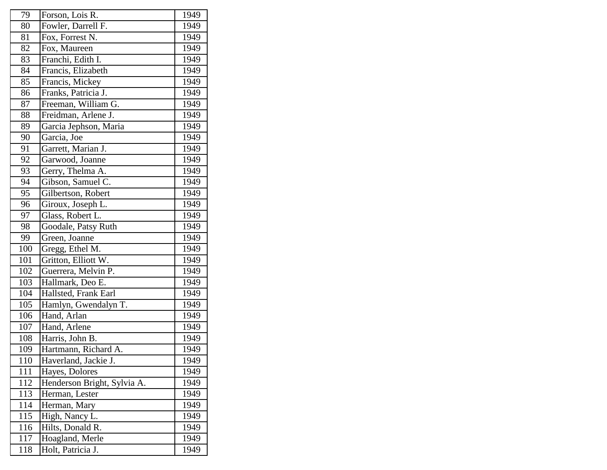| 79  | Forson, Lois R.             | 1949 |
|-----|-----------------------------|------|
| 80  | Fowler, Darrell F.          | 1949 |
| 81  | Fox, Forrest N.             | 1949 |
| 82  | Fox, Maureen                | 1949 |
| 83  | Franchi, Edith I.           | 1949 |
| 84  | Francis, Elizabeth          | 1949 |
| 85  | Francis, Mickey             | 1949 |
| 86  | Franks, Patricia J.         | 1949 |
| 87  | Freeman, William G.         | 1949 |
| 88  | Freidman, Arlene J.         | 1949 |
| 89  | Garcia Jephson, Maria       | 1949 |
| 90  | Garcia, Joe                 | 1949 |
| 91  | Garrett, Marian J.          | 1949 |
| 92  | Garwood, Joanne             | 1949 |
| 93  | Gerry, Thelma A.            | 1949 |
| 94  | Gibson, Samuel C.           | 1949 |
| 95  | Gilbertson, Robert          | 1949 |
| 96  | Giroux, Joseph L.           | 1949 |
| 97  | Glass, Robert L.            | 1949 |
| 98  | Goodale, Patsy Ruth         | 1949 |
| 99  | Green, Joanne               | 1949 |
| 100 | Gregg, Ethel M.             | 1949 |
| 101 | Gritton, Elliott W.         | 1949 |
| 102 | Guerrera, Melvin P.         | 1949 |
| 103 | Hallmark, Deo E.            | 1949 |
| 104 | Hallsted, Frank Earl        | 1949 |
| 105 | Hamlyn, Gwendalyn T.        | 1949 |
| 106 | Hand, Arlan                 | 1949 |
| 107 | Hand, Arlene                | 1949 |
| 108 | Harris, John B.             | 1949 |
| 109 | Hartmann, Richard A.        | 1949 |
| 110 | Haverland, Jackie J.        | 1949 |
| 111 | Hayes, Dolores              | 1949 |
| 112 | Henderson Bright, Sylvia A. | 1949 |
| 113 | Herman, Lester              | 1949 |
| 114 | Herman, Mary                | 1949 |
| 115 | High, Nancy L.              | 1949 |
| 116 | Hilts, Donald R.            | 1949 |
| 117 | Hoagland, Merle             | 1949 |
| 118 | Holt, Patricia J.           | 1949 |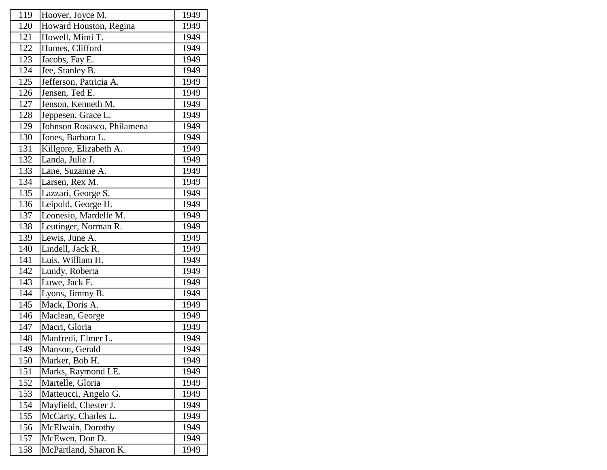| 119 | Hoover, Joyce M.           | 1949 |
|-----|----------------------------|------|
| 120 | Howard Houston, Regina     | 1949 |
| 121 | Howell, Mimi T.            | 1949 |
| 122 | Humes, Clifford            | 1949 |
| 123 | Jacobs, Fay E.             | 1949 |
| 124 | Jee, Stanley B.            | 1949 |
| 125 | Jefferson, Patricia A.     | 1949 |
| 126 | Jensen, Ted E.             | 1949 |
| 127 | Jenson, Kenneth M.         | 1949 |
| 128 | Jeppesen, Grace L.         | 1949 |
| 129 | Johnson Rosasco, Philamena | 1949 |
| 130 | Jones, Barbara L.          | 1949 |
| 131 | Killgore, Elizabeth A.     | 1949 |
| 132 | Landa, Julie J.            | 1949 |
| 133 | Lane, Suzanne A.           | 1949 |
| 134 | Larsen, Rex M.             | 1949 |
| 135 | Lazzari, George S.         | 1949 |
| 136 | Leipold, George H.         | 1949 |
| 137 | Leonesio, Mardelle M.      | 1949 |
| 138 | Leutinger, Norman R.       | 1949 |
| 139 | Lewis, June A.             | 1949 |
| 140 | Lindell, Jack R.           | 1949 |
| 141 | Luis, William H.           | 1949 |
| 142 | Lundy, Roberta             | 1949 |
| 143 | Luwe, Jack F.              | 1949 |
| 144 | Lyons, Jimmy B.            | 1949 |
| 145 | Mack, Doris A.             | 1949 |
| 146 | Maclean, George            | 1949 |
| 147 | Macri, Gloria              | 1949 |
| 148 | Manfredi, Elmer L.         | 1949 |
| 149 | Manson, Gerald             | 1949 |
| 150 | Marker, Bob H.             | 1949 |
| 151 | Marks, Raymond LE.         | 1949 |
| 152 | Martelle, Gloria           | 1949 |
| 153 | Matteucci, Angelo G.       | 1949 |
| 154 | Mayfield, Chester J.       | 1949 |
| 155 | McCarty, Charles L.        | 1949 |
| 156 | McElwain, Dorothy          | 1949 |
| 157 | McEwen, Don D.             | 1949 |
| 158 | McPartland, Sharon K.      | 1949 |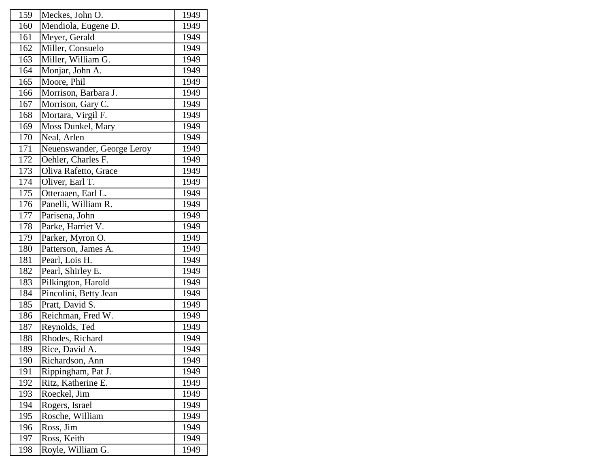| 159 | Meckes, John O.            | 1949 |
|-----|----------------------------|------|
| 160 | Mendiola, Eugene D.        | 1949 |
| 161 | Meyer, Gerald              | 1949 |
| 162 | Miller, Consuelo           | 1949 |
| 163 | Miller, William G.         | 1949 |
| 164 | Monjar, John A.            | 1949 |
| 165 | Moore, Phil                | 1949 |
| 166 | Morrison, Barbara J.       | 1949 |
| 167 | Morrison, Gary C.          | 1949 |
| 168 | Mortara, Virgil F.         | 1949 |
| 169 | Moss Dunkel, Mary          | 1949 |
| 170 | Neal, Arlen                | 1949 |
| 171 | Neuenswander, George Leroy | 1949 |
| 172 | Oehler, Charles F.         | 1949 |
| 173 | Oliva Rafetto, Grace       | 1949 |
| 174 | Oliver, Earl T.            | 1949 |
| 175 | Otteraaen, Earl L.         | 1949 |
| 176 | Panelli, William R.        | 1949 |
| 177 | Parisena, John             | 1949 |
| 178 | Parke, Harriet V.          | 1949 |
| 179 | Parker, Myron O.           | 1949 |
| 180 | Patterson, James A.        | 1949 |
| 181 | Pearl, Lois H.             | 1949 |
| 182 | Pearl, Shirley E.          | 1949 |
| 183 | Pilkington, Harold         | 1949 |
| 184 | Pincolini, Betty Jean      | 1949 |
| 185 | Pratt, David S.            | 1949 |
| 186 | Reichman, Fred W.          | 1949 |
| 187 | Reynolds, Ted              | 1949 |
| 188 | Rhodes, Richard            | 1949 |
| 189 | Rice, David A.             | 1949 |
| 190 | Richardson, Ann            | 1949 |
| 191 | Rippingham, Pat J.         | 1949 |
| 192 | Ritz, Katherine E.         | 1949 |
| 193 | Roeckel, Jim               | 1949 |
| 194 | Rogers, Israel             | 1949 |
| 195 | Rosche, William            | 1949 |
| 196 | Ross, Jim                  | 1949 |
| 197 | Ross, Keith                | 1949 |
|     | Royle, William G.          | 1949 |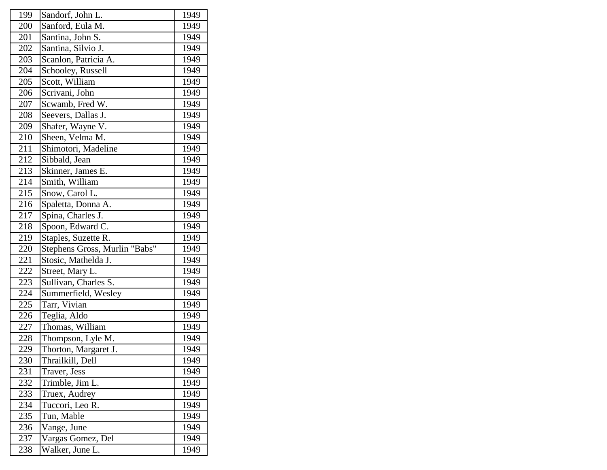| 199 | Sandorf, John L.              | 1949 |
|-----|-------------------------------|------|
| 200 | Sanford, Eula M.              | 1949 |
| 201 | Santina, John S.              | 1949 |
| 202 | Santina, Silvio J.            | 1949 |
| 203 | Scanlon, Patricia A.          | 1949 |
| 204 | Schooley, Russell             | 1949 |
| 205 | Scott, William                | 1949 |
| 206 | Scrivani, John                | 1949 |
| 207 | Scwamb, Fred W.               | 1949 |
| 208 | Seevers, Dallas J.            | 1949 |
| 209 | Shafer, Wayne V.              | 1949 |
| 210 | Sheen, Velma M.               | 1949 |
| 211 | Shimotori, Madeline           | 1949 |
| 212 | Sibbald, Jean                 | 1949 |
| 213 | Skinner, James E.             | 1949 |
| 214 | Smith, William                | 1949 |
| 215 | Snow, Carol L.                | 1949 |
| 216 | Spaletta, Donna A.            | 1949 |
| 217 | Spina, Charles J.             | 1949 |
| 218 | Spoon, Edward C.              | 1949 |
| 219 | Staples, Suzette R.           | 1949 |
| 220 | Stephens Gross, Murlin "Babs" | 1949 |
| 221 | Stosic, Mathelda J.           | 1949 |
| 222 | Street, Mary L.               | 1949 |
| 223 | Sullivan, Charles S.          | 1949 |
| 224 | Summerfield, Wesley           | 1949 |
| 225 | Tarr, Vivian                  | 1949 |
| 226 | Teglia, Aldo                  | 1949 |
| 227 | Thomas, William               | 1949 |
| 228 | Thompson, Lyle M.             | 1949 |
| 229 | Thorton, Margaret J.          | 1949 |
| 230 | Thrailkill, Dell              | 1949 |
| 231 | Traver, Jess                  | 1949 |
| 232 | Trimble, Jim L.               | 1949 |
| 233 | Truex, Audrey                 | 1949 |
| 234 | Tuccori, Leo R.               | 1949 |
| 235 | Tun, Mable                    | 1949 |
| 236 | Vange, June                   | 1949 |
| 237 | Vargas Gomez, Del             | 1949 |
| 238 | Walker, June L.               | 1949 |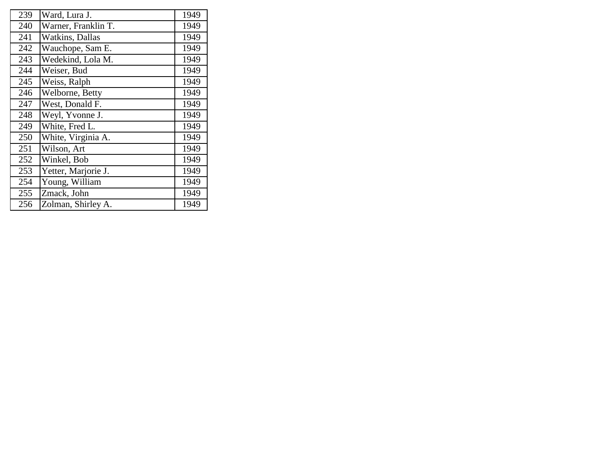| 239 | Ward, Lura J.       | 1949 |
|-----|---------------------|------|
| 240 | Warner, Franklin T. | 1949 |
| 241 | Watkins, Dallas     | 1949 |
| 242 | Wauchope, Sam E.    | 1949 |
| 243 | Wedekind, Lola M.   | 1949 |
| 244 | Weiser, Bud         | 1949 |
| 245 | Weiss, Ralph        | 1949 |
| 246 | Welborne, Betty     | 1949 |
| 247 | West, Donald F.     | 1949 |
| 248 | Weyl, Yvonne J.     | 1949 |
| 249 | White, Fred L.      | 1949 |
| 250 | White, Virginia A.  | 1949 |
| 251 | Wilson, Art         | 1949 |
| 252 | Winkel, Bob         | 1949 |
| 253 | Yetter, Marjorie J. | 1949 |
| 254 | Young, William      | 1949 |
| 255 | Zmack, John         | 1949 |
| 256 | Zolman, Shirley A.  | 1949 |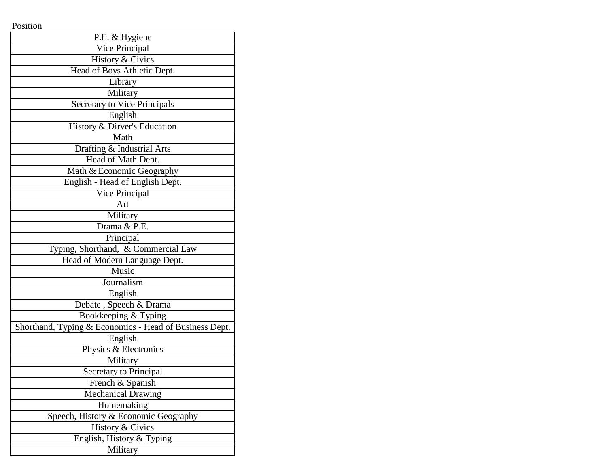Position

| P.E. & Hygiene                                         |
|--------------------------------------------------------|
| Vice Principal                                         |
| History & Civics                                       |
| Head of Boys Athletic Dept.                            |
| Library                                                |
| Military                                               |
| Secretary to Vice Principals                           |
| English                                                |
| History & Dirver's Education                           |
| Math                                                   |
| Drafting & Industrial Arts                             |
| Head of Math Dept.                                     |
| Math & Economic Geography                              |
| English - Head of English Dept.                        |
| Vice Principal                                         |
| Art                                                    |
| Military                                               |
| Drama & P.E.                                           |
| Principal                                              |
| Typing, Shorthand, & Commercial Law                    |
| Head of Modern Language Dept.                          |
| Music                                                  |
| Journalism                                             |
| English                                                |
| Debate, Speech & Drama                                 |
| Bookkeeping & Typing                                   |
| Shorthand, Typing & Economics - Head of Business Dept. |
| English                                                |
| Physics & Electronics                                  |
| Military                                               |
| Secretary to Principal                                 |
| French & Spanish                                       |
| <b>Mechanical Drawing</b>                              |
| Homemaking                                             |
| Speech, History & Economic Geography                   |
| History & Civics                                       |
| English, History & Typing                              |
| Military                                               |